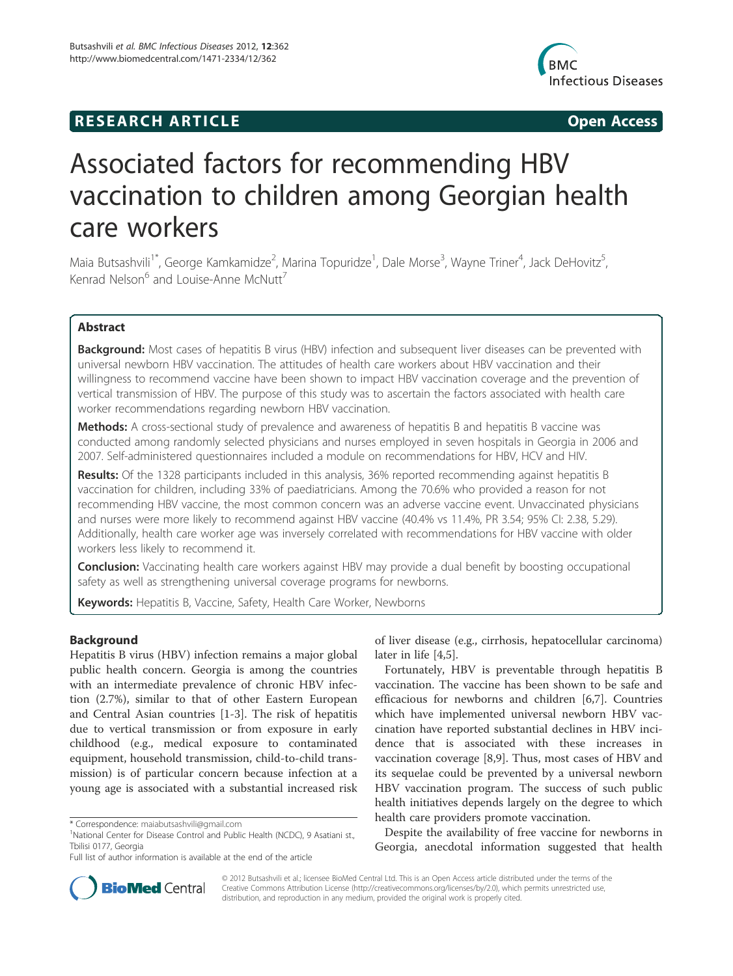## **RESEARCH ARTICLE Example 2014 CONSIDERING CONSIDERING CONSIDERING CONSIDERING CONSIDERING CONSIDERING CONSIDERING CONSIDERING CONSIDERING CONSIDERING CONSIDERING CONSIDERING CONSIDERING CONSIDERING CONSIDERING CONSIDE**



# Associated factors for recommending HBV vaccination to children among Georgian health care workers

Maia Butsashvili<sup>1\*</sup>, George Kamkamidze<sup>2</sup>, Marina Topuridze<sup>1</sup>, Dale Morse<sup>3</sup>, Wayne Triner<sup>4</sup>, Jack DeHovitz<sup>5</sup> , Kenrad Nelson<sup>6</sup> and Louise-Anne McNutt<sup>7</sup>

## Abstract

**Background:** Most cases of hepatitis B virus (HBV) infection and subsequent liver diseases can be prevented with universal newborn HBV vaccination. The attitudes of health care workers about HBV vaccination and their willingness to recommend vaccine have been shown to impact HBV vaccination coverage and the prevention of vertical transmission of HBV. The purpose of this study was to ascertain the factors associated with health care worker recommendations regarding newborn HBV vaccination.

Methods: A cross-sectional study of prevalence and awareness of hepatitis B and hepatitis B vaccine was conducted among randomly selected physicians and nurses employed in seven hospitals in Georgia in 2006 and 2007. Self-administered questionnaires included a module on recommendations for HBV, HCV and HIV.

Results: Of the 1328 participants included in this analysis, 36% reported recommending against hepatitis B vaccination for children, including 33% of paediatricians. Among the 70.6% who provided a reason for not recommending HBV vaccine, the most common concern was an adverse vaccine event. Unvaccinated physicians and nurses were more likely to recommend against HBV vaccine (40.4% vs 11.4%, PR 3.54; 95% CI: 2.38, 5.29). Additionally, health care worker age was inversely correlated with recommendations for HBV vaccine with older workers less likely to recommend it.

**Conclusion:** Vaccinating health care workers against HBV may provide a dual benefit by boosting occupational safety as well as strengthening universal coverage programs for newborns.

Keywords: Hepatitis B, Vaccine, Safety, Health Care Worker, Newborns

## Background

Hepatitis B virus (HBV) infection remains a major global public health concern. Georgia is among the countries with an intermediate prevalence of chronic HBV infection (2.7%), similar to that of other Eastern European and Central Asian countries [1-3]. The risk of hepatitis due to vertical transmission or from exposure in early childhood (e.g., medical exposure to contaminated equipment, household transmission, child-to-child transmission) is of particular concern because infection at a young age is associated with a substantial increased risk

of liver disease (e.g., cirrhosis, hepatocellular carcinoma) later in life [4,5].

Fortunately, HBV is preventable through hepatitis B vaccination. The vaccine has been shown to be safe and efficacious for newborns and children [6,7]. Countries which have implemented universal newborn HBV vaccination have reported substantial declines in HBV incidence that is associated with these increases in vaccination coverage [8,9]. Thus, most cases of HBV and its sequelae could be prevented by a universal newborn HBV vaccination program. The success of such public health initiatives depends largely on the degree to which health care providers promote vaccination.

Despite the availability of free vaccine for newborns in Georgia, anecdotal information suggested that health



© 2012 Butsashvili et al.; licensee BioMed Central Ltd. This is an Open Access article distributed under the terms of the Creative Commons Attribution License (http://creativecommons.org/licenses/by/2.0), which permits unrestricted use, distribution, and reproduction in any medium, provided the original work is properly cited.

<sup>\*</sup> Correspondence: maiabutsashvili@gmail.com <sup>1</sup>

<sup>&</sup>lt;sup>1</sup>National Center for Disease Control and Public Health (NCDC), 9 Asatiani st., Tbilisi 0177, Georgia

Full list of author information is available at the end of the article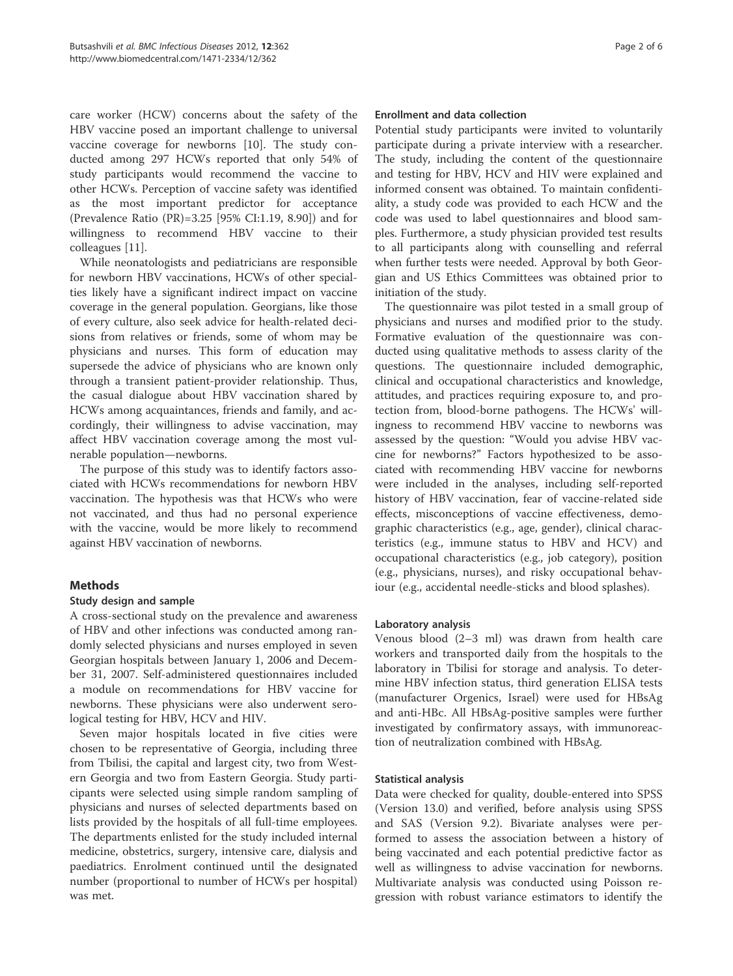care worker (HCW) concerns about the safety of the HBV vaccine posed an important challenge to universal vaccine coverage for newborns [10]. The study conducted among 297 HCWs reported that only 54% of study participants would recommend the vaccine to other HCWs. Perception of vaccine safety was identified as the most important predictor for acceptance (Prevalence Ratio (PR)=3.25 [95% CI:1.19, 8.90]) and for willingness to recommend HBV vaccine to their colleagues [11].

While neonatologists and pediatricians are responsible for newborn HBV vaccinations, HCWs of other specialties likely have a significant indirect impact on vaccine coverage in the general population. Georgians, like those of every culture, also seek advice for health-related decisions from relatives or friends, some of whom may be physicians and nurses. This form of education may supersede the advice of physicians who are known only through a transient patient-provider relationship. Thus, the casual dialogue about HBV vaccination shared by HCWs among acquaintances, friends and family, and accordingly, their willingness to advise vaccination, may affect HBV vaccination coverage among the most vulnerable population—newborns.

The purpose of this study was to identify factors associated with HCWs recommendations for newborn HBV vaccination. The hypothesis was that HCWs who were not vaccinated, and thus had no personal experience with the vaccine, would be more likely to recommend against HBV vaccination of newborns.

## Methods

## Study design and sample

A cross-sectional study on the prevalence and awareness of HBV and other infections was conducted among randomly selected physicians and nurses employed in seven Georgian hospitals between January 1, 2006 and December 31, 2007. Self-administered questionnaires included a module on recommendations for HBV vaccine for newborns. These physicians were also underwent serological testing for HBV, HCV and HIV.

Seven major hospitals located in five cities were chosen to be representative of Georgia, including three from Tbilisi, the capital and largest city, two from Western Georgia and two from Eastern Georgia. Study participants were selected using simple random sampling of physicians and nurses of selected departments based on lists provided by the hospitals of all full-time employees. The departments enlisted for the study included internal medicine, obstetrics, surgery, intensive care, dialysis and paediatrics. Enrolment continued until the designated number (proportional to number of HCWs per hospital) was met.

## Enrollment and data collection

Potential study participants were invited to voluntarily participate during a private interview with a researcher. The study, including the content of the questionnaire and testing for HBV, HCV and HIV were explained and informed consent was obtained. To maintain confidentiality, a study code was provided to each HCW and the code was used to label questionnaires and blood samples. Furthermore, a study physician provided test results to all participants along with counselling and referral when further tests were needed. Approval by both Georgian and US Ethics Committees was obtained prior to initiation of the study.

The questionnaire was pilot tested in a small group of physicians and nurses and modified prior to the study. Formative evaluation of the questionnaire was conducted using qualitative methods to assess clarity of the questions. The questionnaire included demographic, clinical and occupational characteristics and knowledge, attitudes, and practices requiring exposure to, and protection from, blood-borne pathogens. The HCWs' willingness to recommend HBV vaccine to newborns was assessed by the question: "Would you advise HBV vaccine for newborns?" Factors hypothesized to be associated with recommending HBV vaccine for newborns were included in the analyses, including self-reported history of HBV vaccination, fear of vaccine-related side effects, misconceptions of vaccine effectiveness, demographic characteristics (e.g., age, gender), clinical characteristics (e.g., immune status to HBV and HCV) and occupational characteristics (e.g., job category), position (e.g., physicians, nurses), and risky occupational behaviour (e.g., accidental needle-sticks and blood splashes).

#### Laboratory analysis

Venous blood (2–3 ml) was drawn from health care workers and transported daily from the hospitals to the laboratory in Tbilisi for storage and analysis. To determine HBV infection status, third generation ELISA tests (manufacturer Orgenics, Israel) were used for HBsAg and anti-HBc. All HBsAg-positive samples were further investigated by confirmatory assays, with immunoreaction of neutralization combined with HBsAg.

#### Statistical analysis

Data were checked for quality, double-entered into SPSS (Version 13.0) and verified, before analysis using SPSS and SAS (Version 9.2). Bivariate analyses were performed to assess the association between a history of being vaccinated and each potential predictive factor as well as willingness to advise vaccination for newborns. Multivariate analysis was conducted using Poisson regression with robust variance estimators to identify the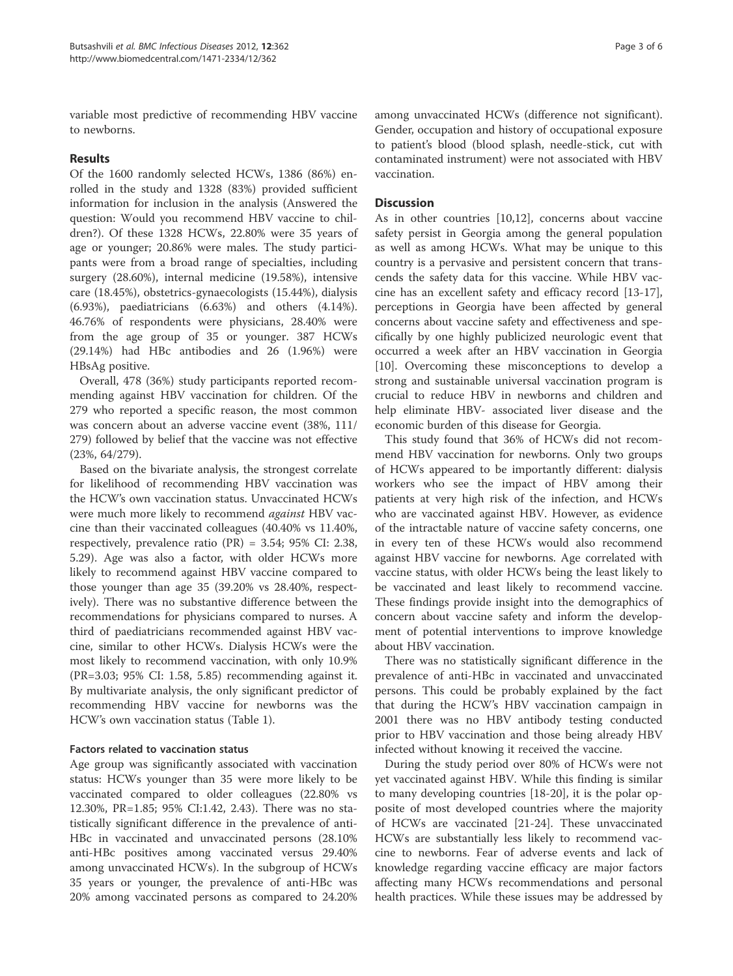variable most predictive of recommending HBV vaccine to newborns.

## Results

Of the 1600 randomly selected HCWs, 1386 (86%) enrolled in the study and 1328 (83%) provided sufficient information for inclusion in the analysis (Answered the question: Would you recommend HBV vaccine to children?). Of these 1328 HCWs, 22.80% were 35 years of age or younger; 20.86% were males. The study participants were from a broad range of specialties, including surgery (28.60%), internal medicine (19.58%), intensive care (18.45%), obstetrics-gynaecologists (15.44%), dialysis (6.93%), paediatricians (6.63%) and others (4.14%). 46.76% of respondents were physicians, 28.40% were from the age group of 35 or younger. 387 HCWs (29.14%) had HBc antibodies and 26 (1.96%) were HBsAg positive.

Overall, 478 (36%) study participants reported recommending against HBV vaccination for children. Of the 279 who reported a specific reason, the most common was concern about an adverse vaccine event (38%, 111/ 279) followed by belief that the vaccine was not effective (23%, 64/279).

Based on the bivariate analysis, the strongest correlate for likelihood of recommending HBV vaccination was the HCW's own vaccination status. Unvaccinated HCWs were much more likely to recommend *against* HBV vaccine than their vaccinated colleagues (40.40% vs 11.40%, respectively, prevalence ratio (PR) = 3.54; 95% CI: 2.38, 5.29). Age was also a factor, with older HCWs more likely to recommend against HBV vaccine compared to those younger than age 35 (39.20% vs 28.40%, respectively). There was no substantive difference between the recommendations for physicians compared to nurses. A third of paediatricians recommended against HBV vaccine, similar to other HCWs. Dialysis HCWs were the most likely to recommend vaccination, with only 10.9% (PR=3.03; 95% CI: 1.58, 5.85) recommending against it. By multivariate analysis, the only significant predictor of recommending HBV vaccine for newborns was the HCW's own vaccination status (Table 1).

## Factors related to vaccination status

Age group was significantly associated with vaccination status: HCWs younger than 35 were more likely to be vaccinated compared to older colleagues (22.80% vs 12.30%, PR=1.85; 95% CI:1.42, 2.43). There was no statistically significant difference in the prevalence of anti-HBc in vaccinated and unvaccinated persons (28.10% anti-HBc positives among vaccinated versus 29.40% among unvaccinated HCWs). In the subgroup of HCWs 35 years or younger, the prevalence of anti-HBc was 20% among vaccinated persons as compared to 24.20%

among unvaccinated HCWs (difference not significant). Gender, occupation and history of occupational exposure to patient's blood (blood splash, needle-stick, cut with contaminated instrument) were not associated with HBV vaccination.

## **Discussion**

As in other countries [10,12], concerns about vaccine safety persist in Georgia among the general population as well as among HCWs. What may be unique to this country is a pervasive and persistent concern that transcends the safety data for this vaccine. While HBV vaccine has an excellent safety and efficacy record [13-17], perceptions in Georgia have been affected by general concerns about vaccine safety and effectiveness and specifically by one highly publicized neurologic event that occurred a week after an HBV vaccination in Georgia [10]. Overcoming these misconceptions to develop a strong and sustainable universal vaccination program is crucial to reduce HBV in newborns and children and help eliminate HBV- associated liver disease and the economic burden of this disease for Georgia.

This study found that 36% of HCWs did not recommend HBV vaccination for newborns. Only two groups of HCWs appeared to be importantly different: dialysis workers who see the impact of HBV among their patients at very high risk of the infection, and HCWs who are vaccinated against HBV. However, as evidence of the intractable nature of vaccine safety concerns, one in every ten of these HCWs would also recommend against HBV vaccine for newborns. Age correlated with vaccine status, with older HCWs being the least likely to be vaccinated and least likely to recommend vaccine. These findings provide insight into the demographics of concern about vaccine safety and inform the development of potential interventions to improve knowledge about HBV vaccination.

There was no statistically significant difference in the prevalence of anti-HBc in vaccinated and unvaccinated persons. This could be probably explained by the fact that during the HCW's HBV vaccination campaign in 2001 there was no HBV antibody testing conducted prior to HBV vaccination and those being already HBV infected without knowing it received the vaccine.

During the study period over 80% of HCWs were not yet vaccinated against HBV. While this finding is similar to many developing countries [18-20], it is the polar opposite of most developed countries where the majority of HCWs are vaccinated [21-24]. These unvaccinated HCWs are substantially less likely to recommend vaccine to newborns. Fear of adverse events and lack of knowledge regarding vaccine efficacy are major factors affecting many HCWs recommendations and personal health practices. While these issues may be addressed by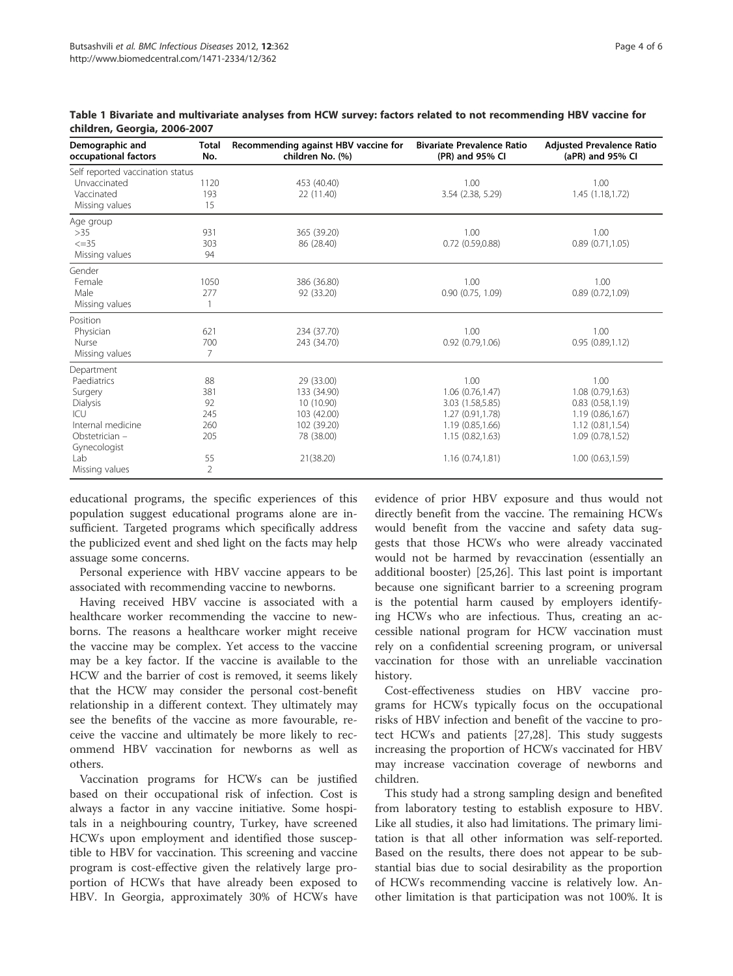| Demographic and<br>occupational factors | Total<br>No.   | Recommending against HBV vaccine for<br>children No. (%) | <b>Bivariate Prevalence Ratio</b><br>(PR) and 95% CI | <b>Adjusted Prevalence Ratio</b><br>(aPR) and 95% CI |
|-----------------------------------------|----------------|----------------------------------------------------------|------------------------------------------------------|------------------------------------------------------|
| Self reported vaccination status        |                |                                                          |                                                      |                                                      |
| Unvaccinated                            | 1120           | 453 (40.40)                                              | 1.00                                                 | 1.00                                                 |
| Vaccinated                              | 193            | 22 (11.40)                                               | 3.54 (2.38, 5.29)                                    | 1.45 (1.18,1.72)                                     |
| Missing values                          | 15             |                                                          |                                                      |                                                      |
| Age group                               |                |                                                          |                                                      |                                                      |
| >35                                     | 931            | 365 (39.20)                                              | 1.00                                                 | 1.00                                                 |
| $\leq$ = 35                             | 303            | 86 (28.40)                                               | 0.72 (0.59,0.88)                                     | 0.89(0.71, 1.05)                                     |
| Missing values                          | 94             |                                                          |                                                      |                                                      |
| Gender                                  |                |                                                          |                                                      |                                                      |
| Female                                  | 1050           | 386 (36.80)                                              | 1.00                                                 | 1.00                                                 |
| Male                                    | 277            | 92 (33.20)                                               | $0.90$ $(0.75, 1.09)$                                | 0.89 (0.72,1.09)                                     |
| Missing values                          |                |                                                          |                                                      |                                                      |
| Position                                |                |                                                          |                                                      |                                                      |
| Physician                               | 621            | 234 (37.70)                                              | 1.00                                                 | 1.00                                                 |
| Nurse                                   | 700            | 243 (34.70)                                              | 0.92(0.79,1.06)                                      | 0.95(0.89,1.12)                                      |
| Missing values                          | 7              |                                                          |                                                      |                                                      |
| Department                              |                |                                                          |                                                      |                                                      |
| Paediatrics                             | 88             | 29 (33.00)                                               | 1.00                                                 | 1.00                                                 |
| Surgery                                 | 381            | 133 (34.90)                                              | 1.06 (0.76,1.47)                                     | 1.08(0.79, 1.63)                                     |
| Dialysis                                | 92             | 10 (10.90)                                               | 3.03 (1.58,5.85)                                     | 0.83(0.58,1.19)                                      |
| C                                       | 245            | 103 (42.00)                                              | 1.27 (0.91,1.78)                                     | 1.19(0.86, 1.67)                                     |
| Internal medicine                       | 260            | 102 (39.20)                                              | 1.19 (0.85,1.66)                                     | 1.12(0.81, 1.54)                                     |
| Obstetrician -                          | 205            | 78 (38.00)                                               | 1.15(0.82, 1.63)                                     | 1.09 (0.78,1.52)                                     |
| Gynecologist                            |                |                                                          |                                                      |                                                      |
| I ab                                    | 55             | 21(38.20)                                                | 1.16(0.74, 1.81)                                     | 1.00(0.63, 1.59)                                     |
| Missing values                          | $\overline{2}$ |                                                          |                                                      |                                                      |

Table 1 Bivariate and multivariate analyses from HCW survey: factors related to not recommending HBV vaccine for children, Georgia, 2006-2007

educational programs, the specific experiences of this population suggest educational programs alone are insufficient. Targeted programs which specifically address the publicized event and shed light on the facts may help assuage some concerns.

Personal experience with HBV vaccine appears to be associated with recommending vaccine to newborns.

Having received HBV vaccine is associated with a healthcare worker recommending the vaccine to newborns. The reasons a healthcare worker might receive the vaccine may be complex. Yet access to the vaccine may be a key factor. If the vaccine is available to the HCW and the barrier of cost is removed, it seems likely that the HCW may consider the personal cost-benefit relationship in a different context. They ultimately may see the benefits of the vaccine as more favourable, receive the vaccine and ultimately be more likely to recommend HBV vaccination for newborns as well as others.

Vaccination programs for HCWs can be justified based on their occupational risk of infection. Cost is always a factor in any vaccine initiative. Some hospitals in a neighbouring country, Turkey, have screened HCWs upon employment and identified those susceptible to HBV for vaccination. This screening and vaccine program is cost-effective given the relatively large proportion of HCWs that have already been exposed to HBV. In Georgia, approximately 30% of HCWs have evidence of prior HBV exposure and thus would not directly benefit from the vaccine. The remaining HCWs would benefit from the vaccine and safety data suggests that those HCWs who were already vaccinated would not be harmed by revaccination (essentially an additional booster) [25,26]. This last point is important because one significant barrier to a screening program is the potential harm caused by employers identifying HCWs who are infectious. Thus, creating an accessible national program for HCW vaccination must rely on a confidential screening program, or universal vaccination for those with an unreliable vaccination history.

Cost-effectiveness studies on HBV vaccine programs for HCWs typically focus on the occupational risks of HBV infection and benefit of the vaccine to protect HCWs and patients [27,28]. This study suggests increasing the proportion of HCWs vaccinated for HBV may increase vaccination coverage of newborns and children.

This study had a strong sampling design and benefited from laboratory testing to establish exposure to HBV. Like all studies, it also had limitations. The primary limitation is that all other information was self-reported. Based on the results, there does not appear to be substantial bias due to social desirability as the proportion of HCWs recommending vaccine is relatively low. Another limitation is that participation was not 100%. It is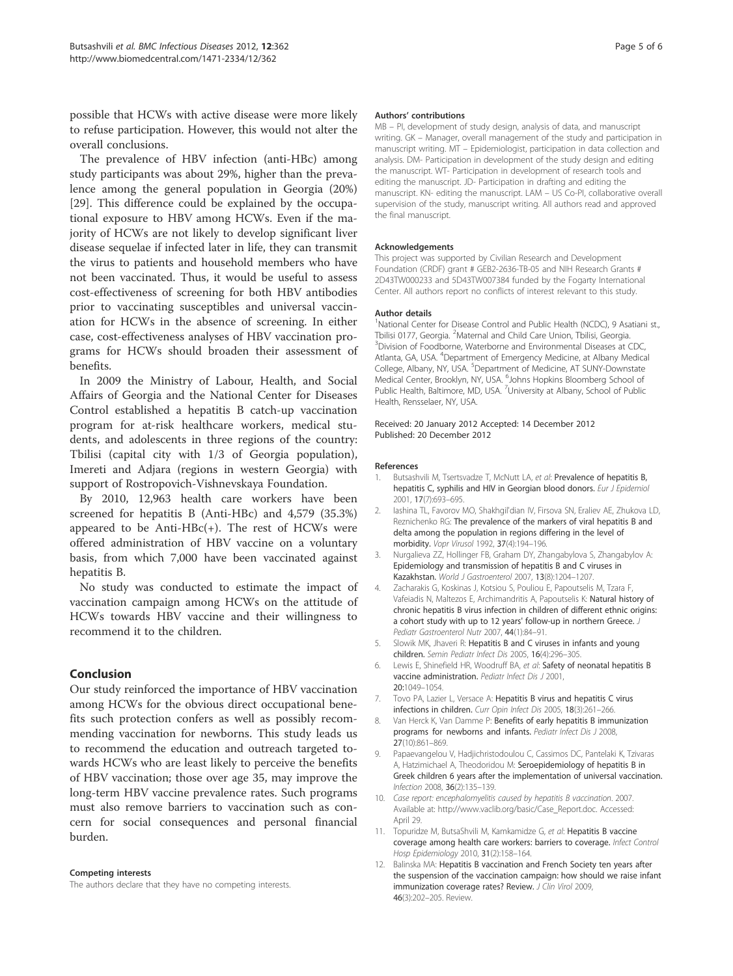possible that HCWs with active disease were more likely to refuse participation. However, this would not alter the overall conclusions.

The prevalence of HBV infection (anti-HBc) among study participants was about 29%, higher than the prevalence among the general population in Georgia (20%) [29]. This difference could be explained by the occupational exposure to HBV among HCWs. Even if the majority of HCWs are not likely to develop significant liver disease sequelae if infected later in life, they can transmit the virus to patients and household members who have not been vaccinated. Thus, it would be useful to assess cost-effectiveness of screening for both HBV antibodies prior to vaccinating susceptibles and universal vaccination for HCWs in the absence of screening. In either case, cost-effectiveness analyses of HBV vaccination programs for HCWs should broaden their assessment of benefits.

In 2009 the Ministry of Labour, Health, and Social Affairs of Georgia and the National Center for Diseases Control established a hepatitis B catch-up vaccination program for at-risk healthcare workers, medical students, and adolescents in three regions of the country: Tbilisi (capital city with 1/3 of Georgia population), Imereti and Adjara (regions in western Georgia) with support of Rostropovich-Vishnevskaya Foundation.

By 2010, 12,963 health care workers have been screened for hepatitis B (Anti-HBc) and 4,579 (35.3%) appeared to be Anti- $HBC(+)$ . The rest of HCWs were offered administration of HBV vaccine on a voluntary basis, from which 7,000 have been vaccinated against hepatitis B.

No study was conducted to estimate the impact of vaccination campaign among HCWs on the attitude of HCWs towards HBV vaccine and their willingness to recommend it to the children.

## Conclusion

Our study reinforced the importance of HBV vaccination among HCWs for the obvious direct occupational benefits such protection confers as well as possibly recommending vaccination for newborns. This study leads us to recommend the education and outreach targeted towards HCWs who are least likely to perceive the benefits of HBV vaccination; those over age 35, may improve the long-term HBV vaccine prevalence rates. Such programs must also remove barriers to vaccination such as concern for social consequences and personal financial burden.

#### Competing interests

The authors declare that they have no competing interests.

#### Authors' contributions

MB – PI, development of study design, analysis of data, and manuscript writing. GK – Manager, overall management of the study and participation in manuscript writing. MT – Epidemiologist, participation in data collection and analysis. DM- Participation in development of the study design and editing the manuscript. WT- Participation in development of research tools and editing the manuscript. JD- Participation in drafting and editing the manuscript. KN- editing the manuscript. LAM – US Co-PI, collaborative overall supervision of the study, manuscript writing. All authors read and approved the final manuscript.

#### Acknowledgements

This project was supported by Civilian Research and Development Foundation (CRDF) grant # GEB2-2636-TB-05 and NIH Research Grants # 2D43TW000233 and 5D43TW007384 funded by the Fogarty International Center. All authors report no conflicts of interest relevant to this study.

#### Author details

<sup>1</sup>National Center for Disease Control and Public Health (NCDC), 9 Asatiani st. Tbilisi 0177, Georgia. <sup>2</sup>Maternal and Child Care Union, Tbilisi, Georgia.<br><sup>3</sup>Division of Eoodborne. Waterborne and Environmental Diseases at 6 <sup>3</sup>Division of Foodborne, Waterborne and Environmental Diseases at CDC, Atlanta, GA, USA. <sup>4</sup>Department of Emergency Medicine, at Albany Medical College, Albany, NY, USA.<sup>5</sup> Department of Medicine, AT SUNY-Downstate Medical Center, Brooklyn, NY, USA. <sup>6</sup>Johns Hopkins Bloomberg School of Public Health, Baltimore, MD, USA. <sup>7</sup>University at Albany, School of Public Health, Rensselaer, NY, USA.

#### Received: 20 January 2012 Accepted: 14 December 2012 Published: 20 December 2012

#### References

- 1. Butsashvili M, Tsertsvadze T, McNutt LA, et al: Prevalence of hepatitis B, hepatitis C, syphilis and HIV in Georgian blood donors. Eur J Epidemiol 2001, 17(7):693–695.
- 2. Iashina TL, Favorov MO, Shakhgil'dian IV, Firsova SN, Eraliev AE, Zhukova LD, Reznichenko RG: The prevalence of the markers of viral hepatitis B and delta among the population in regions differing in the level of morbidity. Vopr Virusol 1992, 37(4):194–196.
- 3. Nurgalieva ZZ, Hollinger FB, Graham DY, Zhangabylova S, Zhangabylov A: Epidemiology and transmission of hepatitis B and C viruses in Kazakhstan. World J Gastroenterol 2007, 13(8):1204–1207.
- 4. Zacharakis G, Koskinas J, Kotsiou S, Pouliou E, Papoutselis M, Tzara F, Vafeiadis N, Maltezos E, Archimandritis A, Papoutselis K: Natural history of chronic hepatitis B virus infection in children of different ethnic origins: a cohort study with up to 12 years' follow-up in northern Greece. J Pediatr Gastroenterol Nutr 2007, 44(1):84–91.
- 5. Slowik MK, Jhaveri R: Hepatitis B and C viruses in infants and young children. Semin Pediatr Infect Dis 2005, 16(4):296–305.
- 6. Lewis E, Shinefield HR, Woodruff BA, et al: Safety of neonatal hepatitis B vaccine administration. Pediatr Infect Dis J 2001, 20:1049–1054.
- 7. Tovo PA, Lazier L, Versace A: Hepatitis B virus and hepatitis C virus infections in children. Curr Opin Infect Dis 2005, 18(3):261–266.
- Van Herck K, Van Damme P: Benefits of early hepatitis B immunization programs for newborns and infants. Pediatr Infect Dis J 2008, 27(10):861–869.
- 9. Papaevangelou V, Hadjichristodoulou C, Cassimos DC, Pantelaki K, Tzivaras A, Hatzimichael A, Theodoridou M: Seroepidemiology of hepatitis B in Greek children 6 years after the implementation of universal vaccination. Infection 2008, 36(2):135–139.
- 10. Case report: encephalomyelitis caused by hepatitis B vaccination. 2007. Available at: http://www.vaclib.org/basic/Case\_Report.doc. Accessed: April 29.
- 11. Topuridze M, ButsaShvili M, Kamkamidze G, et al: Hepatitis B vaccine coverage among health care workers: barriers to coverage. Infect Control Hosp Epidemiology 2010, 31(2):158–164.
- 12. Balinska MA: Hepatitis B vaccination and French Society ten years after the suspension of the vaccination campaign: how should we raise infant immunization coverage rates? Review. J Clin Virol 2009, 46(3):202–205. Review.